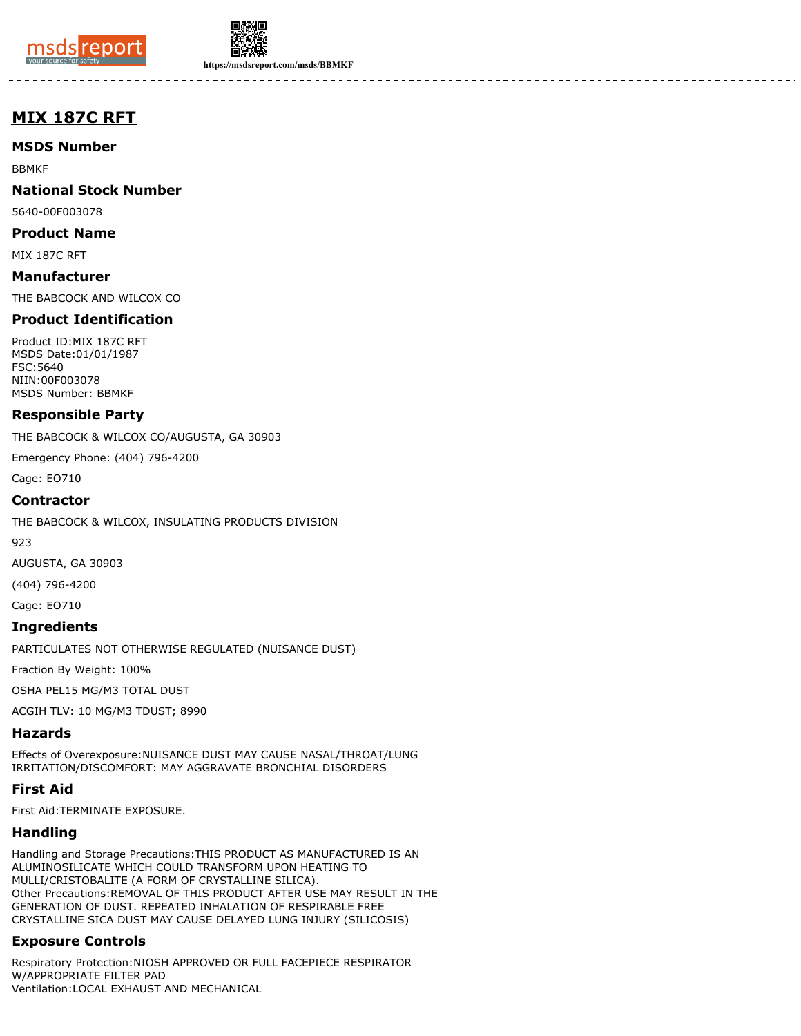



**https://msdsreport.com/msds/BBMKF**

-------

# **MIX 187C RFT**

**MSDS Number**

BBMKF

**National Stock Number**

5640-00F003078

**Product Name**

MIX 187C RFT

**Manufacturer** THE BABCOCK AND WILCOX CO

## **Product Identification**

Product ID:MIX 187C RFT MSDS Date:01/01/1987 FSC:5640 NIIN:00F003078 MSDS Number: BBMKF

#### **Responsible Party**

THE BABCOCK & WILCOX CO/AUGUSTA, GA 30903

Emergency Phone: (404) 796-4200

Cage: EO710

#### **Contractor**

THE BABCOCK & WILCOX, INSULATING PRODUCTS DIVISION

923

AUGUSTA, GA 30903

(404) 796-4200

Cage: EO710

#### **Ingredients**

PARTICULATES NOT OTHERWISE REGULATED (NUISANCE DUST)

Fraction By Weight: 100%

OSHA PEL15 MG/M3 TOTAL DUST

ACGIH TLV: 10 MG/M3 TDUST; 8990

#### **Hazards**

Effects of Overexposure:NUISANCE DUST MAY CAUSE NASAL/THROAT/LUNG IRRITATION/DISCOMFORT: MAY AGGRAVATE BRONCHIAL DISORDERS

#### **First Aid**

First Aid:TERMINATE EXPOSURE.

#### **Handling**

Handling and Storage Precautions:THIS PRODUCT AS MANUFACTURED IS AN ALUMINOSILICATE WHICH COULD TRANSFORM UPON HEATING TO MULLI/CRISTOBALITE (A FORM OF CRYSTALLINE SILICA). Other Precautions:REMOVAL OF THIS PRODUCT AFTER USE MAY RESULT IN THE GENERATION OF DUST. REPEATED INHALATION OF RESPIRABLE FREE CRYSTALLINE SICA DUST MAY CAUSE DELAYED LUNG INJURY (SILICOSIS)

## **Exposure Controls**

Respiratory Protection:NIOSH APPROVED OR FULL FACEPIECE RESPIRATOR W/APPROPRIATE FILTER PAD Ventilation:LOCAL EXHAUST AND MECHANICAL